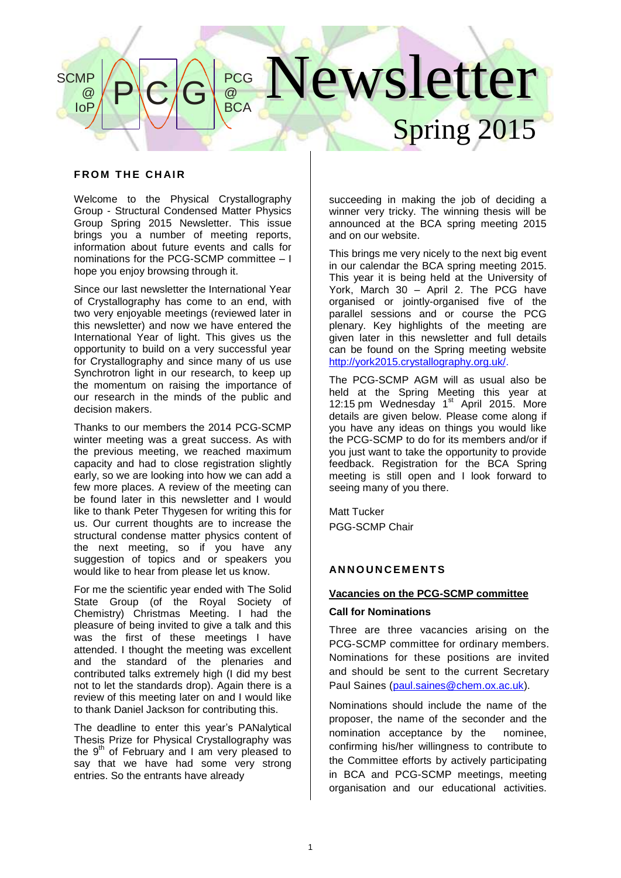#### Newsletter Spring 2015  $P$  $C/G$ **PCG** @ **BCA SCMP** @ IoP

## **FROM THE CHAIR**

Welcome to the Physical Crystallography Group - Structural Condensed Matter Physics Group Spring 2015 Newsletter. This issue brings you a number of meeting reports, information about future events and calls for nominations for the PCG-SCMP committee – I hope you enjoy browsing through it.

Since our last newsletter the International Year of Crystallography has come to an end, with two very enjoyable meetings (reviewed later in this newsletter) and now we have entered the International Year of light. This gives us the opportunity to build on a very successful year for Crystallography and since many of us use Synchrotron light in our research, to keep up the momentum on raising the importance of our research in the minds of the public and decision makers.

Thanks to our members the 2014 PCG-SCMP winter meeting was a great success. As with the previous meeting, we reached maximum capacity and had to close registration slightly early, so we are looking into how we can add a few more places. A review of the meeting can be found later in this newsletter and I would like to thank Peter Thygesen for writing this for us. Our current thoughts are to increase the structural condense matter physics content of the next meeting, so if you have any suggestion of topics and or speakers you would like to hear from please let us know.

For me the scientific year ended with The Solid State Group (of the Royal Society of Chemistry) Christmas Meeting. I had the pleasure of being invited to give a talk and this was the first of these meetings I have attended. I thought the meeting was excellent and the standard of the plenaries and contributed talks extremely high (I did my best not to let the standards drop). Again there is a review of this meeting later on and I would like to thank Daniel Jackson for contributing this.

The deadline to enter this year's PANalytical Thesis Prize for Physical Crystallography was the  $9<sup>th</sup>$  of February and I am very pleased to say that we have had some very strong entries. So the entrants have already

succeeding in making the job of deciding a winner very tricky. The winning thesis will be announced at the BCA spring meeting 2015 and on our website.

This brings me very nicely to the next big event in our calendar the BCA spring meeting 2015. This year it is being held at the University of York, March 30 – April 2. The PCG have organised or jointly-organised five of the parallel sessions and or course the PCG plenary. Key highlights of the meeting are given later in this newsletter and full details can be found on the Spring meeting website [http://york2015.crystallography.org.uk/.](http://york2015.crystallography.org.uk/)

The PCG-SCMP AGM will as usual also be held at the Spring Meeting this year at 12:15 pm Wednesday 1<sup>st</sup> April 2015. More details are given below. Please come along if you have any ideas on things you would like the PCG-SCMP to do for its members and/or if you just want to take the opportunity to provide feedback. Registration for the BCA Spring meeting is still open and I look forward to seeing many of you there.

Matt Tucker PGG-SCMP Chair

## **AN N O U N C E M E N T S**

## **Vacancies on the PCG-SCMP committee**

#### **Call for Nominations**

Three are three vacancies arising on the PCG-SCMP committee for ordinary members. Nominations for these positions are invited and should be sent to the current Secretary Paul Saines [\(paul.saines@chem.ox.ac.uk\)](mailto:paul.saines@chem.ox.ac.uk).

Nominations should include the name of the proposer, the name of the seconder and the nomination acceptance by the nominee, confirming his/her willingness to contribute to the Committee efforts by actively participating in BCA and PCG-SCMP meetings, meeting organisation and our educational activities.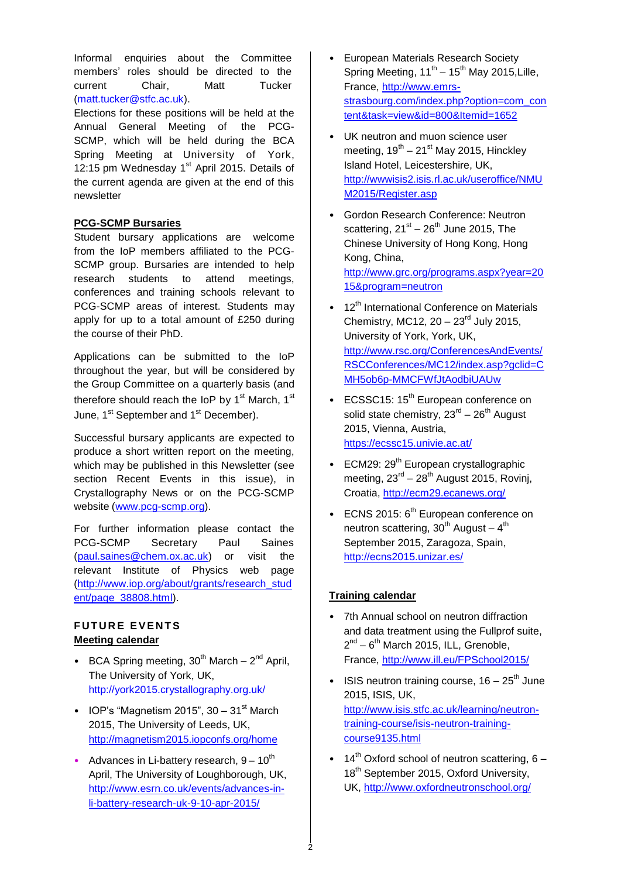Informal enquiries about the Committee members' roles should be directed to the current Chair, Matt Tucker (matt.tucker@stfc.ac.uk).

Elections for these positions will be held at the Annual General Meeting of the PCG-SCMP, which will be held during the BCA Spring Meeting at University of York, 12:15 pm Wednesday  $1<sup>st</sup>$  April 2015. Details of the current agenda are given at the end of this newsletter

# **PCG-SCMP Bursaries**

Student bursary applications are welcome from the IoP members affiliated to the PCG-SCMP group. Bursaries are intended to help research students to attend meetings, conferences and training schools relevant to PCG-SCMP areas of interest. Students may apply for up to a total amount of £250 during the course of their PhD.

Applications can be submitted to the IoP throughout the year, but will be considered by the Group Committee on a quarterly basis (and therefore should reach the IoP by 1<sup>st</sup> March, 1<sup>st</sup> June, 1<sup>st</sup> September and 1<sup>st</sup> December).

Successful bursary applicants are expected to produce a short written report on the meeting, which may be published in this Newsletter (see section Recent Events in this issue), in Crystallography News or on the PCG-SCMP website (www.pcg-scmp.org).

For further information please contact the PCG-SCMP Secretary Paul Saines [\(paul.saines@chem.ox.ac.uk\)](mailto:paul.saines@chem.ox.ac.uk) or visit the relevant Institute of Physics web page [\(http://www.iop.org/about/grants/research\\_stud](http://www.iop.org/about/grants/research_student) [ent/](http://www.iop.org/about/grants/research_student)page\_38808.html).

# **FUTURE EVENTS Meeting calendar**

- BCA Spring meeting,  $30^{th}$  March  $2^{nd}$  April, The University of York, UK, http://york2015.crystallography.org.uk/
- IOP's "Magnetism 2015",  $30 31$ <sup>st</sup> March 2015, The University of Leeds, UK, <http://magnetism2015.iopconfs.org/home>
- Advances in Li-battery research,  $9 10^{th}$ April, The University of Loughborough, UK, [http://www.esrn.co.uk/events/advances-in](http://www.esrn.co.uk/events/advances-in-li-battery-research-uk-9-10-apr-2015/)[li-battery-research-uk-9-10-apr-2015/](http://www.esrn.co.uk/events/advances-in-li-battery-research-uk-9-10-apr-2015/)
- European Materials Research Society Spring Meeting,  $11^{th} - 15^{th}$  May 2015, Lille, France, [http://www.emrs](http://www.emrs-strasbourg.com/index.php?option=com_content&task=view&id=800&Itemid=1652)[strasbourg.com/index.php?option=com\\_con](http://www.emrs-strasbourg.com/index.php?option=com_content&task=view&id=800&Itemid=1652) [tent&task=view&id=800&Itemid=1652](http://www.emrs-strasbourg.com/index.php?option=com_content&task=view&id=800&Itemid=1652)
- UK neutron and muon science user meeting,  $19^{th} - 21^{st}$  May 2015, Hinckley Island Hotel, Leicestershire, UK, [http://wwwisis2.isis.rl.ac.uk/useroffice/NMU](http://wwwisis2.isis.rl.ac.uk/useroffice/NMUM2015/Register.asp) [M2015/Register.asp](http://wwwisis2.isis.rl.ac.uk/useroffice/NMUM2015/Register.asp)
- Gordon Research Conference: Neutron scattering,  $21<sup>st</sup> - 26<sup>th</sup>$  June 2015, The Chinese University of Hong Kong, Hong Kong, China, [http://www.grc.org/programs.aspx?year=20](http://www.grc.org/programs.aspx?year=2015&program=neutron) [15&program=neutron](http://www.grc.org/programs.aspx?year=2015&program=neutron)
- 12<sup>th</sup> International Conference on Materials Chemistry, MC12,  $20 - 23<sup>rd</sup>$  July 2015, University of York, York, UK, [http://www.rsc.org/ConferencesAndEvents/](http://www.rsc.org/ConferencesAndEvents/RSCConferences/MC12/index.asp?gclid=CMH5ob6p-MMCFWfJtAodbiUAUw) [RSCConferences/MC12/index.asp?gclid=C](http://www.rsc.org/ConferencesAndEvents/RSCConferences/MC12/index.asp?gclid=CMH5ob6p-MMCFWfJtAodbiUAUw) [MH5ob6p-MMCFWfJtAodbiUAUw](http://www.rsc.org/ConferencesAndEvents/RSCConferences/MC12/index.asp?gclid=CMH5ob6p-MMCFWfJtAodbiUAUw)
- ECSSC15: 15<sup>th</sup> European conference on solid state chemistry,  $23^{\text{rd}} - 26^{\text{th}}$  August 2015, Vienna, Austria, <https://ecssc15.univie.ac.at/>
- ECM29:  $29<sup>th</sup>$  European crystallographic meeting,  $23^{rd} - 28^{th}$  August 2015, Rovinj, Croatia,<http://ecm29.ecanews.org/>
- $\cdot$  ECNS 2015:  $6<sup>th</sup>$  European conference on neutron scattering,  $30<sup>th</sup>$  August –  $4<sup>th</sup>$ September 2015, Zaragoza, Spain, <http://ecns2015.unizar.es/>

# **Training calendar**

2

- 7th Annual school on neutron diffraction and data treatment using the Fullprof suite,  $2^{nd} - 6^{th}$  March 2015, ILL, Grenoble, France,<http://www.ill.eu/FPSchool2015/>
- ISIS neutron training course,  $16 25$ <sup>th</sup> June 2015, ISIS, UK, [http://www.isis.stfc.ac.uk/learning/neutron](http://www.isis.stfc.ac.uk/learning/neutron-training-course/isis-neutron-training-course9135.html)[training-course/isis-neutron-training](http://www.isis.stfc.ac.uk/learning/neutron-training-course/isis-neutron-training-course9135.html)[course9135.html](http://www.isis.stfc.ac.uk/learning/neutron-training-course/isis-neutron-training-course9135.html)
- 14<sup>th</sup> Oxford school of neutron scattering,  $6 -$ 18<sup>th</sup> September 2015, Oxford University, UK, http://www.oxfordneutronschool.org/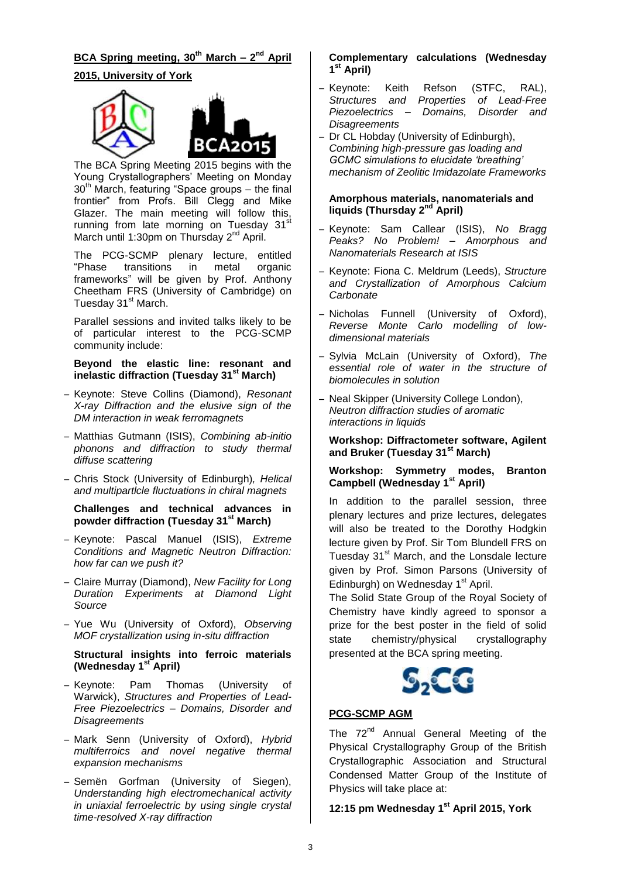# **BCA Spring meeting, 30th March – 2 nd April 2015, University of York**



The BCA Spring Meeting 2015 begins with the Young Crystallographers' Meeting on Monday  $30<sup>th</sup>$  March, featuring "Space groups – the final frontier" from Profs. Bill Clegg and Mike Glazer. The main meeting will follow this, running from late morning on Tuesday  $31<sup>st</sup>$ March until 1:30pm on Thursday 2<sup>nd</sup> April.

The PCG-SCMP plenary lecture, entitled<br>"Phase transitions in metal organic transitions in frameworks" will be given by Prof. Anthony Cheetham FRS (University of Cambridge) on Tuesday 31<sup>st</sup> March.

Parallel sessions and invited talks likely to be of particular interest to the PCG-SCMP community include:

## **Beyond the elastic line: resonant and inelastic diffraction (Tuesday 31st March)**

- ̶ Keynote: Steve Collins (Diamond), *Resonant X-ray Diffraction and the elusive sign of the DM interaction in weak ferromagnets*
- ̶ Matthias Gutmann (ISIS), *Combining ab-initio phonons and diffraction to study thermal diffuse scattering*
- ̶ Chris Stock (University of Edinburgh)*, Helical and multipartlcle fluctuations in chiral magnets*

#### **Challenges and technical advances in powder diffraction (Tuesday 31st March)**

- ̶ Keynote: Pascal Manuel (ISIS), *Extreme Conditions and Magnetic Neutron Diffraction: how far can we push it?*
- ̶ Claire Murray (Diamond), *New Facility for Long Duration Experiments at Diamond Light Source*
- ̶ Yue Wu (University of Oxford), *Observing MOF crystallization using in-situ diffraction*

#### **Structural insights into ferroic materials (Wednesday 1 st April)**

- ̶ Keynote: Pam Thomas (University of Warwick), *Structures and Properties of Lead-Free Piezoelectrics – Domains, Disorder and Disagreements*
- ̶ Mark Senn (University of Oxford), *Hybrid multiferroics and novel negative thermal expansion mechanisms*
- ̶ Semën Gorfman (University of Siegen), *Understanding high electromechanical activity in uniaxial ferroelectric by using single crystal time-resolved X-ray diffraction*

## **Complementary calculations (Wednesday 1 st April)**

- ̶ Keynote: Keith Refson (STFC, RAL), *Structures and Properties of Lead-Free Piezoelectrics – Domains, Disorder and Disagreements*
- ̶ Dr CL Hobday (University of Edinburgh), *Combining high-pressure gas loading and GCMC simulations to elucidate 'breathing' mechanism of Zeolitic Imidazolate Frameworks*

#### **Amorphous materials, nanomaterials and liquids (Thursday 2nd April)**

- ̶ Keynote: Sam Callear (ISIS), *No Bragg Peaks? No Problem! – Amorphous and Nanomaterials Research at ISIS*
- ̶ Keynote: Fiona C. Meldrum (Leeds), *Structure and Crystallization of Amorphous Calcium Carbonate*
- ̶ Nicholas Funnell (University of Oxford), *Reverse Monte Carlo modelling of lowdimensional materials*
- ̶ Sylvia McLain (University of Oxford), *The essential role of water in the structure of biomolecules in solution*
- ̶ Neal Skipper (University College London), *Neutron diffraction studies of aromatic interactions in liquids*

## **Workshop: Diffractometer software, Agilent and Bruker (Tuesday 31st March)**

## **Workshop: Symmetry modes, Branton Campbell (Wednesday 1st April)**

In addition to the parallel session, three plenary lectures and prize lectures, delegates will also be treated to the Dorothy Hodgkin lecture given by Prof. Sir Tom Blundell FRS on Tuesday 31<sup>st</sup> March, and the Lonsdale lecture given by Prof. Simon Parsons (University of Edinburgh) on Wednesday 1<sup>st</sup> April.

The Solid State Group of the Royal Society of Chemistry have kindly agreed to sponsor a prize for the best poster in the field of solid state chemistry/physical crystallography presented at the BCA spring meeting.



# **PCG-SCMP AGM**

The 72<sup>nd</sup> Annual General Meeting of the Physical Crystallography Group of the British Crystallographic Association and Structural Condensed Matter Group of the Institute of Physics will take place at:

# **12:15 pm Wednesday 1st April 2015, York**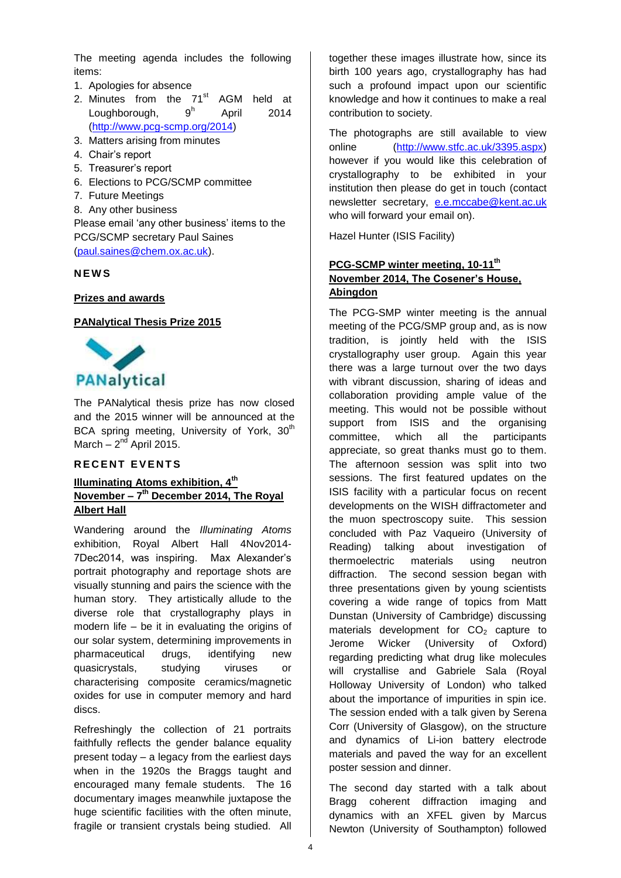The meeting agenda includes the following items:

- 1. Apologies for absence
- 2. Minutes from the  $71<sup>st</sup>$  AGM held at Loughborough,  $9<sup>h</sup>$ April 2014 (http://www.pcg-scmp.org/2014)
- 3. Matters arising from minutes
- 4. Chair's report
- 5. Treasurer's report
- 6. Elections to PCG/SCMP committee
- 7. Future Meetings
- 8. Any other business

Please email 'any other business' items to the PCG/SCMP secretary Paul Saines (paul.saines@chem.ox.ac.uk).

## **N E W S**

#### **Prizes and awards**

#### **PANalytical Thesis Prize 2015**



The PANalytical thesis prize has now closed and the 2015 winner will be announced at the BCA spring meeting, University of York, 30<sup>th</sup> March – 2<sup>nd</sup> April 2015.

# **R E C E N T E V E N T S**

## **Illuminating Atoms exhibition, 4th November – 7 th December 2014, The Royal Albert Hall**

Wandering around the *Illuminating Atoms* exhibition, Royal Albert Hall 4Nov2014- 7Dec2014, was inspiring. Max Alexander's portrait photography and reportage shots are visually stunning and pairs the science with the human story. They artistically allude to the diverse role that crystallography plays in modern life – be it in evaluating the origins of our solar system, determining improvements in pharmaceutical drugs, identifying new quasicrystals, studying viruses or characterising composite ceramics/magnetic oxides for use in computer memory and hard discs.

Refreshingly the collection of 21 portraits faithfully reflects the gender balance equality present today – a legacy from the earliest days when in the 1920s the Braggs taught and encouraged many female students. The 16 documentary images meanwhile juxtapose the huge scientific facilities with the often minute, fragile or transient crystals being studied. All together these images illustrate how, since its birth 100 years ago, crystallography has had such a profound impact upon our scientific knowledge and how it continues to make a real contribution to society.

The photographs are still available to view online [\(http://www.stfc.ac.uk/3395.aspx\)](http://www.stfc.ac.uk/3395.aspx) however if you would like this celebration of crystallography to be exhibited in your institution then please do get in touch (contact newsletter secretary, e.e.mccabe@kent.ac.uk who will forward your email on).

Hazel Hunter (ISIS Facility)

## **PCG-SCMP winter meeting, 10-11th November 2014, The Cosener's House, Abingdon**

The PCG-SMP winter meeting is the annual meeting of the PCG/SMP group and, as is now tradition, is jointly held with the ISIS crystallography user group. Again this year there was a large turnout over the two days with vibrant discussion, sharing of ideas and collaboration providing ample value of the meeting. This would not be possible without support from ISIS and the organising committee, which all the participants appreciate, so great thanks must go to them. The afternoon session was split into two sessions. The first featured updates on the ISIS facility with a particular focus on recent developments on the WISH diffractometer and the muon spectroscopy suite. This session concluded with Paz Vaqueiro (University of Reading) talking about investigation of thermoelectric materials using neutron diffraction. The second session began with three presentations given by young scientists covering a wide range of topics from Matt Dunstan (University of Cambridge) discussing materials development for  $CO<sub>2</sub>$  capture to Jerome Wicker (University of Oxford) regarding predicting what drug like molecules will crystallise and Gabriele Sala (Royal Holloway University of London) who talked about the importance of impurities in spin ice. The session ended with a talk given by Serena Corr (University of Glasgow), on the structure and dynamics of Li-ion battery electrode materials and paved the way for an excellent poster session and dinner.

The second day started with a talk about Bragg coherent diffraction imaging and dynamics with an XFEL given by Marcus Newton (University of Southampton) followed